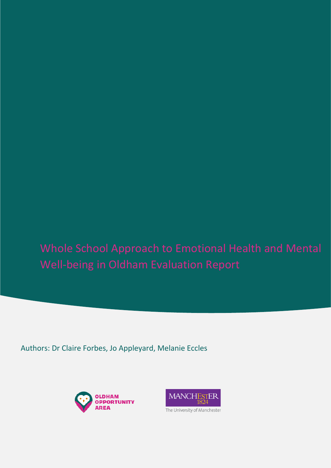Authors: Dr Claire Forbes, Jo Appleyard, Melanie Eccles



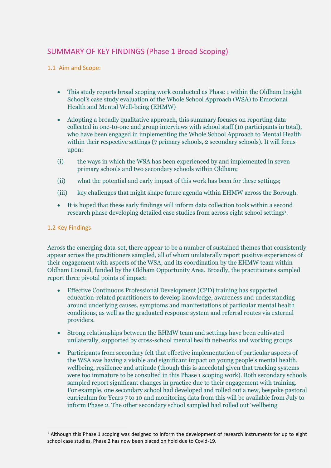# SUMMARY OF KEY FINDINGS (Phase 1 Broad Scoping)

# 1.1 Aim and Scope:

- This study reports broad scoping work conducted as Phase 1 within the Oldham Insight School's case study evaluation of the Whole School Approach (WSA) to Emotional Health and Mental Well-being (EHMW)
- Adopting a broadly qualitative approach, this summary focuses on reporting data collected in one-to-one and group interviews with school staff (10 participants in total), who have been engaged in implementing the Whole School Approach to Mental Health within their respective settings (7 primary schools, 2 secondary schools). It will focus upon:
- (i) the ways in which the WSA has been experienced by and implemented in seven primary schools and two secondary schools within Oldham;
- (ii) what the potential and early impact of this work has been for these settings;
- (iii) key challenges that might shape future agenda within EHMW across the Borough.
- It is hoped that these early findings will inform data collection tools within a second research phase developing detailed case studies from across eight school settings<sup>1</sup>.

# 1.2 Key Findings

Across the emerging data-set, there appear to be a number of sustained themes that consistently appear across the practitioners sampled, all of whom unilaterally report positive experiences of their engagement with aspects of the WSA, and its coordination by the EHMW team within Oldham Council, funded by the Oldham Opportunity Area. Broadly, the practitioners sampled report three pivotal points of impact:

- Effective Continuous Professional Development (CPD) training has supported education-related practitioners to develop knowledge, awareness and understanding around underlying causes, symptoms and manifestations of particular mental health conditions, as well as the graduated response system and referral routes via external providers.
- Strong relationships between the EHMW team and settings have been cultivated unilaterally, supported by cross-school mental health networks and working groups.
- Participants from secondary felt that effective implementation of particular aspects of the WSA was having a visible and significant impact on young people's mental health, wellbeing, resilience and attitude (though this is anecdotal given that tracking systems were too immature to be consulted in this Phase 1 scoping work). Both secondary schools sampled report significant changes in practice due to their engagement with training. For example, one secondary school had developed and rolled out a new, bespoke pastoral curriculum for Years 7 to 10 and monitoring data from this will be available from July to inform Phase 2. The other secondary school sampled had rolled out 'wellbeing

<sup>1</sup> Although this Phase 1 scoping was designed to inform the development of research instruments for up to eight school case studies, Phase 2 has now been placed on hold due to Covid-19.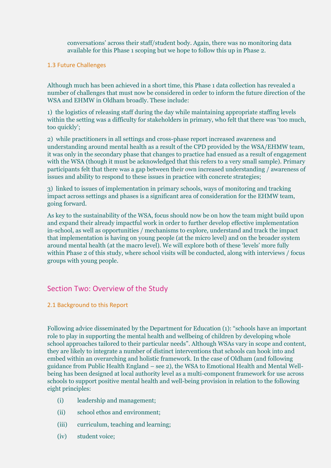conversations' across their staff/student body. Again, there was no monitoring data available for this Phase 1 scoping but we hope to follow this up in Phase 2.

#### 1.3 Future Challenges

Although much has been achieved in a short time, this Phase 1 data collection has revealed a number of challenges that must now be considered in order to inform the future direction of the WSA and EHMW in Oldham broadly. These include:

1) the logistics of releasing staff during the day while maintaining appropriate staffing levels within the setting was a difficulty for stakeholders in primary, who felt that there was 'too much, too quickly';

2) while practitioners in all settings and cross-phase report increased awareness and understanding around mental health as a result of the CPD provided by the WSA/EHMW team, it was only in the secondary phase that changes to practice had ensued as a result of engagement with the WSA (though it must be acknowledged that this refers to a very small sample). Primary participants felt that there was a gap between their own increased understanding / awareness of issues and ability to respond to these issues in practice with concrete strategies;

3) linked to issues of implementation in primary schools, ways of monitoring and tracking impact across settings and phases is a significant area of consideration for the EHMW team, going forward.

As key to the sustainability of the WSA, focus should now be on how the team might build upon and expand their already impactful work in order to further develop effective implementation in-school, as well as opportunities / mechanisms to explore, understand and track the impact that implementation is having on young people (at the micro level) and on the broader system around mental health (at the macro level). We will explore both of these 'levels' more fully within Phase 2 of this study, where school visits will be conducted, along with interviews / focus groups with young people.

# Section Two: Overview of the Study

# 2.1 Background to this Report

Following advice disseminated by the Department for Education (1): "schools have an important role to play in supporting the mental health and wellbeing of children by developing whole school approaches tailored to their particular needs". Although WSAs vary in scope and content, they are likely to integrate a number of distinct interventions that schools can hook into and embed within an overarching and holistic framework. In the case of Oldham (and following guidance from Public Health England – see 2), the WSA to Emotional Health and Mental Wellbeing has been designed at local authority level as a multi-component framework for use across schools to support positive mental health and well-being provision in relation to the following eight principles:

- (i) leadership and management;
- (ii) school ethos and environment;
- (iii) curriculum, teaching and learning;
- (iv) student voice;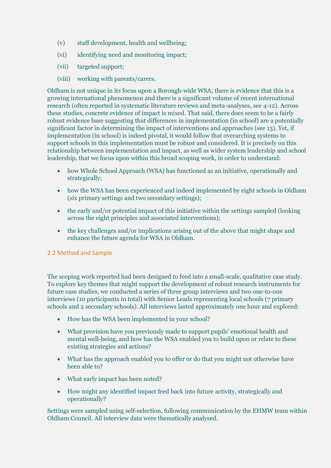- (v) staff development, health and wellbeing;
- (vi) identifying need and monitoring impact;
- (vii) targeted support;
- (viii) working with parents/carers.

Oldham is not unique in its focus upon a Borough-wide WSA; there is evidence that this is a growing international phenomenon and there is a significant volume of recent international research (often reported in systematic literature reviews and meta-analyses, see 4-12). Across these studies, concrete evidence of impact is mixed. That said, there does seem to be a fairly robust evidence base suggesting that differences in implementation (in school) are a potentially significant factor in determining the impact of interventions and approaches (see 13). Yet, if implementation (in school) is indeed pivotal, it would follow that overarching systems to support schools in this implementation must be robust and considered. It is precisely on this relationship between implementation and impact, as well as wider system leadership and school leadership, that we focus upon within this broad scoping work, in order to understand:

- how Whole School Approach (WSA) has functioned as an initiative, operationally and strategically;
- how the WSA has been experienced and indeed implemented by eight schools in Oldham (six primary settings and two secondary settings);
- the early and/or potential impact of this initiative within the settings sampled (looking across the eight principles and associated interventions);
- the key challenges and/or implications arising out of the above that might shape and enhance the future agenda for WSA in Oldham.

# 2.2 Method and Sample

The scoping work reported had been designed to feed into a small-scale, qualitative case study. To explore key themes that might support the development of robust research instruments for future case studies, we conducted a series of three group interviews and two one-to-one interviews (10 participants in total) with Senior Leads representing local schools (7 primary schools and 2 secondary schools). All interviews lasted approximately one hour and explored:

- How has the WSA been implemented in your school?
- What provision have you previously made to support pupils' emotional health and mental well-being, and how has the WSA enabled you to build upon or relate to these existing strategies and actions?
- What has the approach enabled you to offer or do that you might not otherwise have been able to?
- What early impact has been noted?
- How might any identified impact feed back into future activity, strategically and operationally?

Settings were sampled using self-selection, following communication by the EHMW team within Oldham Council. All interview data were thematically analysed.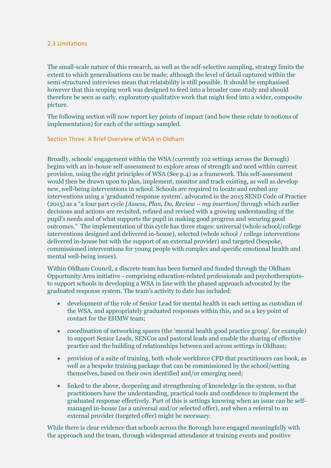#### 2.3 Limitations

The small-scale nature of this research, as well as the self-selective sampling, strategy limits the extent to which generalisations can be made; although the level of detail captured within the semi-structured interviews mean that relatability is still possible. It should be emphasised however that this scoping work was designed to feed into a broader case study and should therefore be seen as early, exploratory qualitative work that might feed into a wider, composite picture.

The following section will now report key points of impact (and how these relate to notions of implementation) for each of the settings sampled.

#### Section Three: A Brief Overview of WSA in Oldham

Broadly, schools' engagement within the WSA (currently 102 settings across the Borough) begins with an in-house self-assessment to explore areas of strength and need within current provision, using the eight principles of WSA (See p.4) as a framework. This self-assessment would then be drawn upon to plan, implement, monitor and track existing, as well as develop new, well-being interventions in school. Schools are required to locate and embed any interventions using a 'graduated response system', advocated in the 2015 SEND Code of Practice (2015) as a "a four part cycle *[Assess, Plan, Do, Review – my insertion]* through which earlier decisions and actions are revisited, refined and revised with a growing understanding of the pupil's needs and of what supports the pupil in making good progress and securing good outcomes." The implementation of this cycle has three stages: universal (whole school/college interventions designed and delivered in-house), selected (whole school / college interventions delivered in-house but with the support of an external provider) and targeted (bespoke, commissioned interventions for young people with complex and specific emotional health and mental well-being issues).

Within Oldham Council, a discrete team has been formed and funded through the Oldham Opportunity Area initiative - comprising education-related professionals and psychotherapiststo support schools in developing a WSA in line with the phased approach advocated by the graduated response system. The team's activity to date has included:

- development of the role of Senior Lead for mental health in each setting as custodian of the WSA, and appropriately graduated responses within this, and as a key point of contact for the EHMW team;
- coordination of networking spaces (the 'mental health good practice group', for example) to support Senior Leads, SENCos and pastoral leads and enable the sharing of effective practice and the building of relationships between and across settings in Oldham;
- provision of a suite of training, both whole workforce CPD that practitioners can book, as well as a bespoke training package that can be commissioned by the school/setting themselves, based on their own identified and/or emerging need;
- linked to the above, deepening and strengthening of knowledge in the system, so that practitioners have the understanding, practical tools and confidence to implement the graduated response effectively. Part of this is settings knowing when an issue can be selfmanaged in-house (as a universal and/or selected offer), and when a referral to an external provider (targeted offer) might be necessary.

While there is clear evidence that schools across the Borough have engaged meaningfully with the approach and the team, through widespread attendance at training events and positive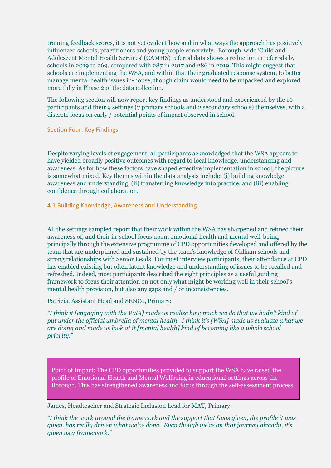training feedback scores, it is not yet evident how and in what ways the approach has positively influenced schools, practitioners and young people concretely. Borough-wide 'Child and Adolescent Mental Health Services' (CAMHS) referral data shows a reduction in referrals by schools in 2019 to 269, compared with 287 in 2017 and 286 in 2019. This might suggest that schools are implementing the WSA, and within that their graduated response system, to better manage mental health issues in-house, though claim would need to be unpacked and explored more fully in Phase 2 of the data collection.

The following section will now report key findings as understood and experienced by the 10 participants and their 9 settings (7 primary schools and 2 secondary schools) themselves, with a discrete focus on early / potential points of impact observed in school.

#### Section Four: Key Findings

Despite varying levels of engagement, all participants acknowledged that the WSA appears to have yielded broadly positive outcomes with regard to local knowledge, understanding and awareness. As for how these factors have shaped effective implementation in school, the picture is somewhat mixed. Key themes within the data analysis include: (i) building knowledge, awareness and understanding, (ii) transferring knowledge into practice, and (iii) enabling confidence through collaboration.

# 4.1 Building Knowledge, Awareness and Understanding

All the settings sampled report that their work within the WSA has sharpened and refined their awareness of, and their in-school focus upon, emotional health and mental well-being, principally through the extensive programme of CPD opportunities developed and offered by the team that are underpinned and sustained by the team's knowledge of Oldham schools and strong relationships with Senior Leads. For most interview participants, their attendance at CPD has enabled existing but often latent knowledge and understanding of issues to be recalled and refreshed. Indeed, most participants described the eight principles as a useful guiding framework to focus their attention on not only what might be working well in their school's mental health provision, but also any gaps and / or inconsistencies.

# Patricia, Assistant Head and SENCo, Primary:

*"I think it [engaging with the WSA] made us realise how much we do that we hadn't kind of put under the official umbrella of mental health. I think it's [WSA] made us evaluate what we are doing and made us look at it [mental health] kind of becoming like a whole school priority."*

Point of Impact: The CPD opportunities provided to support the WSA have raised the profile of Emotional Health and Mental Wellbeing in educational settings across the Borough. This has strengthened awareness and focus through the self-assessment process.

# James, Headteacher and Strategic Inclusion Lead for MAT, Primary:

*"I think the work around the framework and the support that [was given, the profile it was given, has really driven what we've done. Even though we're on that journey already, it's given us a framework."*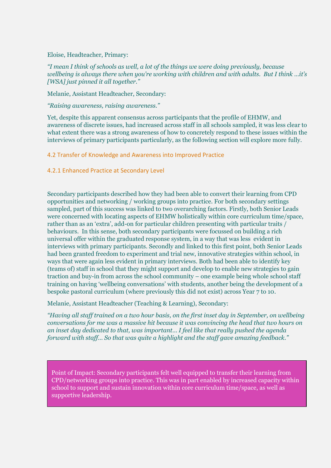Eloise, Headteacher, Primary:

*"I mean I think of schools as well, a lot of the things we were doing previously, because wellbeing is always there when you're working with children and with adults. But I think …it's [WSA] just pinned it all together."*

Melanie, Assistant Headteacher, Secondary:

*"Raising awareness, raising awareness."* 

Yet, despite this apparent consensus across participants that the profile of EHMW, and awareness of discrete issues, had increased across staff in all schools sampled, it was less clear to what extent there was a strong awareness of how to concretely respond to these issues within the interviews of primary participants particularly, as the following section will explore more fully.

4.2 Transfer of Knowledge and Awareness into Improved Practice

4.2.1 Enhanced Practice at Secondary Level

Secondary participants described how they had been able to convert their learning from CPD opportunities and networking / working groups into practice. For both secondary settings sampled, part of this success was linked to two overarching factors. Firstly, both Senior Leads were concerned with locating aspects of EHMW holistically within core curriculum time/space, rather than as an 'extra', add-on for particular children presenting with particular traits / behaviours. In this sense, both secondary participants were focussed on building a rich universal offer within the graduated response system, in a way that was less evident in interviews with primary participants. Secondly and linked to this first point, both Senior Leads had been granted freedom to experiment and trial new, innovative strategies within school, in ways that were again less evident in primary interviews. Both had been able to identify key (teams of) staff in school that they might support and develop to enable new strategies to gain traction and buy-in from across the school community – one example being whole school staff training on having 'wellbeing conversations' with students, another being the development of a bespoke pastoral curriculum (where previously this did not exist) across Year 7 to 10.

Melanie, Assistant Headteacher (Teaching & Learning), Secondary:

*"Having all staff trained on a two hour basis, on the first inset day in September, on wellbeing conversations for me was a massive hit because it was convincing the head that two hours on an inset day dedicated to that, was important… I feel like that really pushed the agenda forward with staff… So that was quite a highlight and the staff gave amazing feedback."*

Point of Impact: Secondary participants felt well equipped to transfer their learning from CPD/networking groups into practice. This was in part enabled by increased capacity within school to support and sustain innovation within core curriculum time/space, as well as supportive leadership.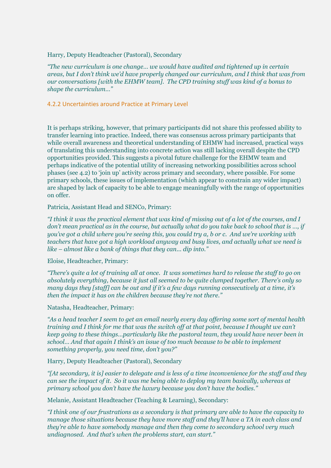#### Harry, Deputy Headteacher (Pastoral), Secondary

*"The new curriculum is one change… we would have audited and tightened up in certain areas, but I don't think we'd have properly changed our curriculum, and I think that was from our conversations [with the EHMW team]. The CPD training stuff was kind of a bonus to shape the curriculum…"*

#### 4.2.2 Uncertainties around Practice at Primary Level

It is perhaps striking, however, that primary participants did not share this professed ability to transfer learning into practice. Indeed, there was consensus across primary participants that while overall awareness and theoretical understanding of EHMW had increased, practical ways of translating this understanding into concrete action was still lacking overall despite the CPD opportunities provided. This suggests a pivotal future challenge for the EHMW team and perhaps indicative of the potential utility of increasing networking possibilities across school phases (see 4.2) to 'join up' activity across primary and secondary, where possible. For some primary schools, these issues of implementation (which appear to constrain any wider impact) are shaped by lack of capacity to be able to engage meaningfully with the range of opportunities on offer.

Patricia, Assistant Head and SENCo, Primary:

*"I think it was the practical element that was kind of missing out of a lot of the courses, and I don't mean practical as in the course, but actually what do you take back to school that is …, if you've got a child where you're seeing this, you could try a, b or c. And we're working with teachers that have got a high workload anyway and busy lives, and actually what we need is like – almost like a bank of things that they can... dip into."*

#### Eloise, Headteacher, Primary:

*"There's quite a lot of training all at once. It was sometimes hard to release the staff to go on absolutely everything, because it just all seemed to be quite clumped together. There's only so many days they [staff] can be out and if it's a few days running consecutively at a time, it's then the impact it has on the children because they're not there."*

Natasha, Headteacher, Primary:

*"As a head teacher I seem to get an email nearly every day offering some sort of mental health training and I think for me that was the switch off at that point, because I thought we can't keep going to these things…particularly like the pastoral team, they would have never been in school… And that again I think's an issue of too much because to be able to implement something properly, you need time, don't you?"*

Harry, Deputy Headteacher (Pastoral), Secondary

*"[At secondary, it is] easier to delegate and is less of a time inconvenience for the staff and they can see the impact of it. So it was me being able to deploy my team basically, whereas at primary school you don't have the luxury because you don't have the bodies."*

Melanie, Assistant Headteacher (Teaching & Learning), Secondary:

*"I think one of our frustrations as a secondary is that primary are able to have the capacity to manage those situations because they have more staff and they'll have a TA in each class and they're able to have somebody manage and then they come to secondary school very much undiagnosed. And that's when the problems start, can start."*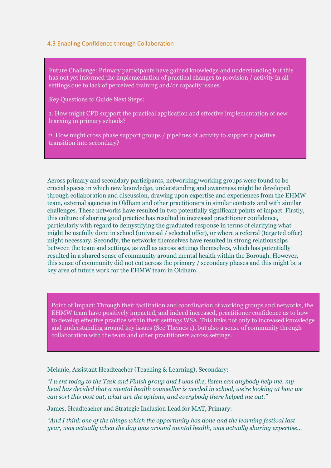#### 4.3 Enabling Confidence through Collaboration

Future Challenge: Primary participants have gained knowledge and understanding but this has not yet informed the implementation of practical changes to provision / activity in all settings due to lack of perceived training and/or capacity issues.

Key Questions to Guide Next Steps:

1. How might CPD support the practical application and effective implementation of new learning in primary schools?

2. How might cross phase support groups / pipelines of activity to support a positive transition into secondary?

Across primary and secondary participants, networking/working groups were found to be crucial spaces in which new knowledge, understanding and awareness might be developed through collaboration and discussion, drawing upon expertise and experiences from the EHMW team, external agencies in Oldham and other practitioners in similar contexts and with similar challenges. These networks have resulted in two potentially significant points of impact. Firstly, this culture of sharing good practice has resulted in increased practitioner confidence, particularly with regard to demystifying the graduated response in terms of clarifying what might be usefully done in school (universal / selected offer), or where a referral (targeted offer) might necessary. Secondly, the networks themselves have resulted in strong relationships between the team and settings, as well as across settings themselves, which has potentially resulted in a shared sense of community around mental health within the Borough. However, this sense of community did not cut across the primary / secondary phases and this might be a key area of future work for the EHMW team in Oldham.

Point of Impact: Through their facilitation and coordination of working groups and networks, the EHMW team have positively impacted, and indeed increased, practitioner confidence as to how to develop effective practice within their settings WSA. This links not only to increased knowledge and understanding around key issues (See Themes 1), but also a sense of community through collaboration with the team and other practitioners across settings.

Melanie, Assistant Headteacher (Teaching & Learning), Secondary:

*"I went today to the Task and Finish group and I was like, listen can anybody help me, my head has decided that a mental health counsellor is needed in school, we're looking at how we can sort this post out, what are the options, and everybody there helped me out."* 

James, Headteacher and Strategic Inclusion Lead for MAT, Primary:

*"And I think one of the things which the opportunity has done and the learning festival last year, was actually when the day was around mental health, was actually sharing expertise…*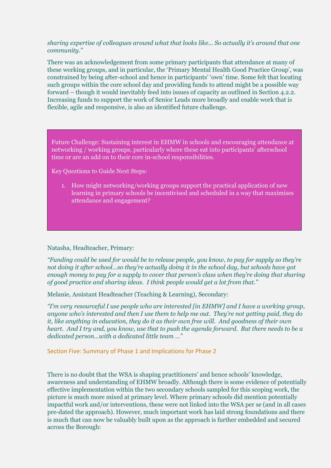#### *sharing expertise of colleagues around what that looks like… So actually it's around that one community."*

There was an acknowledgement from some primary participants that attendance at many of these working groups, and in particular, the 'Primary Mental Health Good Practice Group', was constrained by being after-school and hence in participants' 'own' time. Some felt that locating such groups within the core school day and providing funds to attend might be a possible way forward – though it would inevitably feed into issues of capacity as outlined in Section 4.2.2. Increasing funds to support the work of Senior Leads more broadly and enable work that is flexible, agile and responsive, is also an identified future challenge.

Future Challenge: Sustaining interest in EHMW in schools and encouraging attendance at networking / working groups, particularly where these eat into participants' afterschool time or are an add on to their core in-school responsibilities.

Key Questions to Guide Next Steps:

1. How might networking/working groups support the practical application of new learning in primary schools be incentivised and scheduled in a way that maximises attendance and engagement?

#### Natasha, Headteacher, Primary:

*"Funding could be used for would be to release people, you know, to pay for supply so they're not doing it after school…so they're actually doing it in the school day, but schools have got enough money to pay for a supply to cover that person's class when they're doing that sharing of good practice and sharing ideas. I think people would get a lot from that."*

Melanie, Assistant Headteacher (Teaching & Learning), Secondary:

*"I'm very resourceful I use people who are interested [in EHMW] and I have a working group, anyone who's interested and then I use them to help me out. They're not getting paid, they do it, like anything in education, they do it as their own free will. And goodness of their own heart. And I try and, you know, use that to push the agenda forward. But there needs to be a dedicated person…with a dedicated little team …"*

Section Five: Summary of Phase 1 and Implications for Phase 2

There is no doubt that the WSA is shaping practitioners' and hence schools' knowledge, awareness and understanding of EHMW broadly. Although there is some evidence of potentially effective implementation within the two secondary schools sampled for this scoping work, the picture is much more mixed at primary level. Where primary schools did mention potentially impactful work and/or interventions, these were not linked into the WSA per se (and in all cases pre-dated the approach). However, much important work has laid strong foundations and there is much that can now be valuably built upon as the approach is further embedded and secured across the Borough: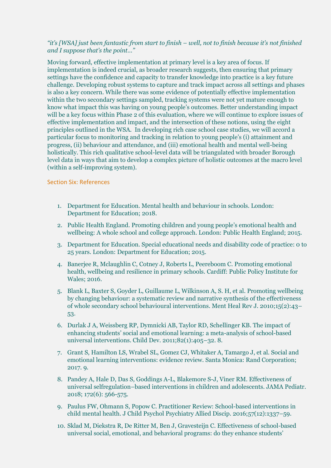# *"it's [WSA] just been fantastic from start to finish – well, not to finish because it's not finished and I suppose that's the point…"*

Moving forward, effective implementation at primary level is a key area of focus. If implementation is indeed crucial, as broader research suggests, then ensuring that primary settings have the confidence and capacity to transfer knowledge into practice is a key future challenge. Developing robust systems to capture and track impact across all settings and phases is also a key concern. While there was some evidence of potentially effective implementation within the two secondary settings sampled, tracking systems were not yet mature enough to know what impact this was having on young people's outcomes. Better understanding impact will be a key focus within Phase 2 of this evaluation, where we will continue to explore issues of effective implementation and impact, and the intersection of these notions, using the eight principles outlined in the WSA. In developing rich case school case studies, we will accord a particular focus to monitoring and tracking in relation to young people's (i) attainment and progress, (ii) behaviour and attendance, and (iii) emotional health and mental well-being holistically. This rich qualitative school-level data will be triangulated with broader Borough level data in ways that aim to develop a complex picture of holistic outcomes at the macro level (within a self-improving system).

#### Section Six: References

- 1. Department for Education. Mental health and behaviour in schools. London: Department for Education; 2018.
- 2. Public Health England. Promoting children and young people's emotional health and wellbeing: A whole school and college approach. London: Public Health England; 2015.
- 3. Department for Education. Special educational needs and disability code of practice: 0 to 25 years. London: Department for Education; 2015.
- 4. Banerjee R, Mclaughlin C, Cotney J, Roberts L, Peereboom C. Promoting emotional health, wellbeing and resilience in primary schools. Cardiff: Public Policy Institute for Wales; 2016.
- 5. Blank L, Baxter S, Goyder L, Guillaume L, Wilkinson A, S. H, et al. Promoting wellbeing by changing behaviour: a systematic review and narrative synthesis of the effectiveness of whole secondary school behavioural interventions. Ment Heal Rev J. 2010;15(2):43– 53.
- 6. Durlak J A, Weissberg RP, Dymnicki AB, Taylor RD, Schellinger KB. The impact of enhancing students' social and emotional learning: a meta-analysis of school-based universal interventions. Child Dev. 2011;82(1):405–32. 8.
- 7. Grant S, Hamilton LS, Wrabel SL, Gomez CJ, Whitaker A, Tamargo J, et al. Social and emotional learning interventions: evidence review. Santa Monica: Rand Corporation; 2017. 9.
- 8. Pandey A, Hale D, Das S, Goddings A-L, Blakemore S-J, Viner RM. Effectiveness of universal selfregulation–based interventions in children and adolescents. JAMA Pediatr. 2018; 172(6): 566-575.
- 9. Paulus FW, Ohmann S, Popow C. Practitioner Review: School-based interventions in child mental health. J Child Psychol Psychiatry Allied Discip. 2016;57(12):1337–59.
- 10. Sklad M, Diekstra R, De Ritter M, Ben J, Gravesteijn C. Effectiveness of school-based universal social, emotional, and behavioral programs: do they enhance students'